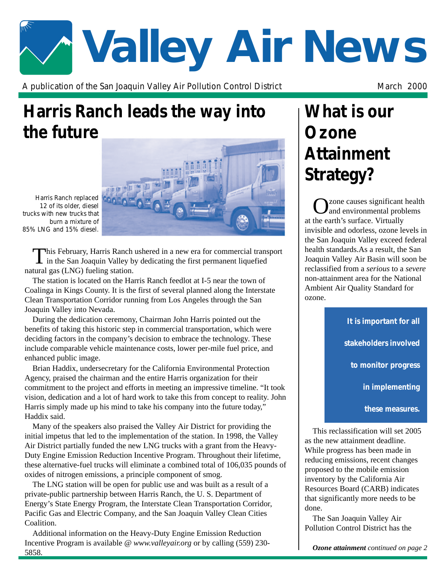# **Valley Air News**

A publication of the San Joaquin Valley Air Pollution Control District Manch 2000 March 2000

# **Harris Ranch leads the way into the future**

*Harris Ranch replaced 12 of its older, diesel trucks with new trucks that burn a mixture of 85% LNG and 15% diesel.*

This February, Harris Ranch ushered in a new era for commercial transport in the San Joaquin Valley by dedicating the first permanent liquefied natural gas (LNG) fueling station.

The station is located on the Harris Ranch feedlot at I-5 near the town of Coalinga in Kings County. It is the first of several planned along the Interstate Clean Transportation Corridor running from Los Angeles through the San Joaquin Valley into Nevada.

During the dedication ceremony, Chairman John Harris pointed out the benefits of taking this historic step in commercial transportation, which were deciding factors in the company's decision to embrace the technology. These include comparable vehicle maintenance costs, lower per-mile fuel price, and enhanced public image.

Brian Haddix, undersecretary for the California Environmental Protection Agency, praised the chairman and the entire Harris organization for their commitment to the project and efforts in meeting an impressive timeline. "It took vision, dedication and a lot of hard work to take this from concept to reality. John Harris simply made up his mind to take his company into the future today," Haddix said.

Many of the speakers also praised the Valley Air District for providing the initial impetus that led to the implementation of the station. In 1998, the Valley Air District partially funded the new LNG trucks with a grant from the Heavy-Duty Engine Emission Reduction Incentive Program. Throughout their lifetime, these alternative-fuel trucks will eliminate a combined total of 106,035 pounds of oxides of nitrogen emissions, a principle component of smog.

The LNG station will be open for public use and was built as a result of a private-public partnership between Harris Ranch, the U. S. Department of Energy's State Energy Program, the Interstate Clean Transportation Corridor, Pacific Gas and Electric Company, and the San Joaquin Valley Clean Cities Coalition.

Additional information on the Heavy-Duty Engine Emission Reduction Incentive Program is available @ *www.valleyair.org* or by calling (559) 230- 5858.

## **What is our Ozone Attainment Strategy?**

Ozone causes significant health and environmental problems at the earth's surface. Virtually invisible and odorless, ozone levels in the San Joaquin Valley exceed federal health standards.As a result, the San Joaquin Valley Air Basin will soon be reclassified from a *serious* to a *severe* non-attainment area for the National Ambient Air Quality Standard for ozone.

> *It is important for all stakeholders involved to monitor progress in implementing*

> > *these measures.*

This reclassification will set 2005 as the new attainment deadline. While progress has been made in reducing emissions, recent changes proposed to the mobile emission inventory by the California Air Resources Board (CARB) indicates that significantly more needs to be done.

The San Joaquin Valley Air Pollution Control District has the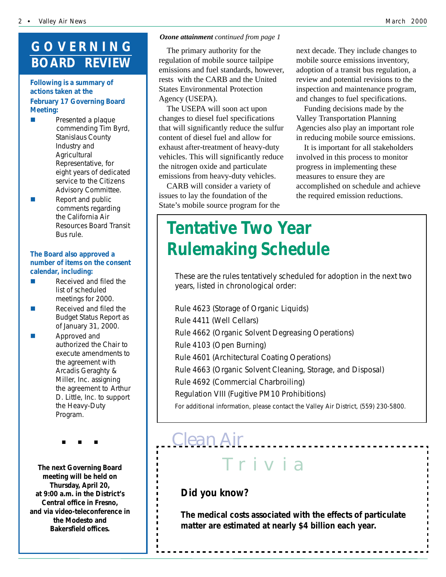## **GOVERNING BOARD REVIEW**

#### **Following is a summary of actions taken at the February 17 Governing Board Meeting:**

- Presented a plaque commending Tim Byrd, Stanislaus County Industry and **Agricultural** Representative, for eight years of dedicated service to the Citizens Advisory Committee.
- $\blacksquare$  Report and public comments regarding the California Air Resources Board Transit Bus rule.

#### **The Board also approved a number of items on the consent calendar, including:**

- $\blacksquare$  Received and filed the list of scheduled meetings for 2000.
- $\blacksquare$  Received and filed the Budget Status Report as of January 31, 2000.
- Approved and authorized the Chair to execute amendments to the agreement with Arcadis Geraghty & Miller, Inc. assigning the agreement to Arthur D. Little, Inc. to support the Heavy-Duty Program.

"#""#""#

**The next Governing Board meeting will be held on Thursday, April 20, at 9:00 a.m. in the District's Central office in Fresno, and via video-teleconference in the Modesto and Bakersfield offices.**

#### *Ozone attainment continued from page 1*

The primary authority for the regulation of mobile source tailpipe emissions and fuel standards, however, rests with the CARB and the United States Environmental Protection Agency (USEPA).

The USEPA will soon act upon changes to diesel fuel specifications that will significantly reduce the sulfur content of diesel fuel and allow for exhaust after-treatment of heavy-duty vehicles. This will significantly reduce the nitrogen oxide and particulate emissions from heavy-duty vehicles.

CARB will consider a variety of issues to lay the foundation of the State's mobile source program for the

next decade. They include changes to mobile source emissions inventory, adoption of a transit bus regulation, a review and potential revisions to the inspection and maintenance program, and changes to fuel specifications.

Funding decisions made by the Valley Transportation Planning Agencies also play an important role in reducing mobile source emissions.

It is important for all stakeholders involved in this process to monitor progress in implementing these measures to ensure they are accomplished on schedule and achieve the required emission reductions.

## **Tentative Two Year Rulemaking Schedule**

These are the rules tentatively scheduled for adoption in the next two years, listed in chronological order:

Rule 4623 (Storage of Organic Liquids) Rule 4411 (Well Cellars) Rule 4662 (Organic Solvent Degreasing Operations) Rule 4103 (Open Burning) Rule 4601 (Architectural Coating Operations) Rule 4663 (Organic Solvent Cleaning, Storage, and Disposal) Rule 4692 (Commercial Charbroiling) Regulation VIII (Fugitive PM10 Prohibitions) *For additional information, please contact the Valley Air District, (559) 230-5800.*

### *Clean Air*<u>---------------</u> Tr iv ia

#### *Did you know?*

*The medical costs associated with the effects of particulate matter are estimated at nearly \$4 billion each year.*